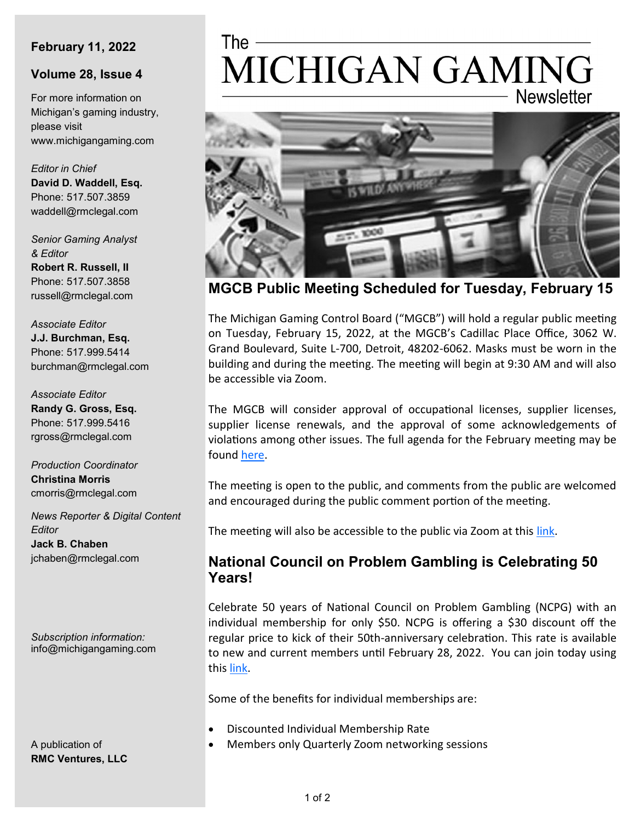### **February 11, 2022**

#### **Volume 28, Issue 4**

For more information on Michigan's gaming industry, please visit www.michigangaming.com

*Editor in Chief* **David D. Waddell, Esq.** Phone: 517.507.3859 waddell@rmclegal.com

*Senior Gaming Analyst & Editor* **Robert R. Russell, II** Phone: 517.507.3858 russell@rmclegal.com

*Associate Editor* **J.J. Burchman, Esq.** Phone: 517.999.5414 burchman@rmclegal.com

*Associate Editor* **Randy G. Gross, Esq.** Phone: 517.999.5416 rgross@rmclegal.com

*Production Coordinator* **Christina Morris** cmorris@rmclegal.com

*News Reporter & Digital Content Editor* **Jack B. Chaben** jchaben@rmclegal.com

*Subscription information:* info@michigangaming.com

A publication of **RMC Ventures, LLC**

# The -MICHIGAN GAMING **Newsletter**



**MGCB Public Meeting Scheduled for Tuesday, February 15**

The Michigan Gaming Control Board ("MGCB") will hold a regular public meeting on Tuesday, February 15, 2022, at the MGCB's Cadillac Place Office, 3062 W. Grand Boulevard, Suite L-700, Detroit, 48202-6062. Masks must be worn in the building and during the meeting. The meeting will begin at 9:30 AM and will also be accessible via Zoom.

The MGCB will consider approval of occupational licenses, supplier licenses, supplier license renewals, and the approval of some acknowledgements of violations among other issues. The full agenda for the February meeting may be found [here.](https://content.govdelivery.com/accounts/MIGCB/bulletins/30a100d)

The meeting is open to the public, and comments from the public are welcomed and encouraged during the public comment portion of the meeting.

The meeting will also be accessible to the public via Zoom at this link.

## **National Council on Problem Gambling is Celebrating 50 Years!**

Celebrate 50 years of National Council on Problem Gambling (NCPG) with an individual membership for only \$50. NCPG is offering a \$30 discount off the regular price to kick of their 50th-anniversary celebration. This rate is available to new and current members until February 28, 2022. You can join today using this [link.](https://ncpgambling.site-ym.com/general/register_member_type.asp?) 

Some of the benefits for individual memberships are:

- Discounted Individual Membership Rate
- Members only Quarterly Zoom networking sessions